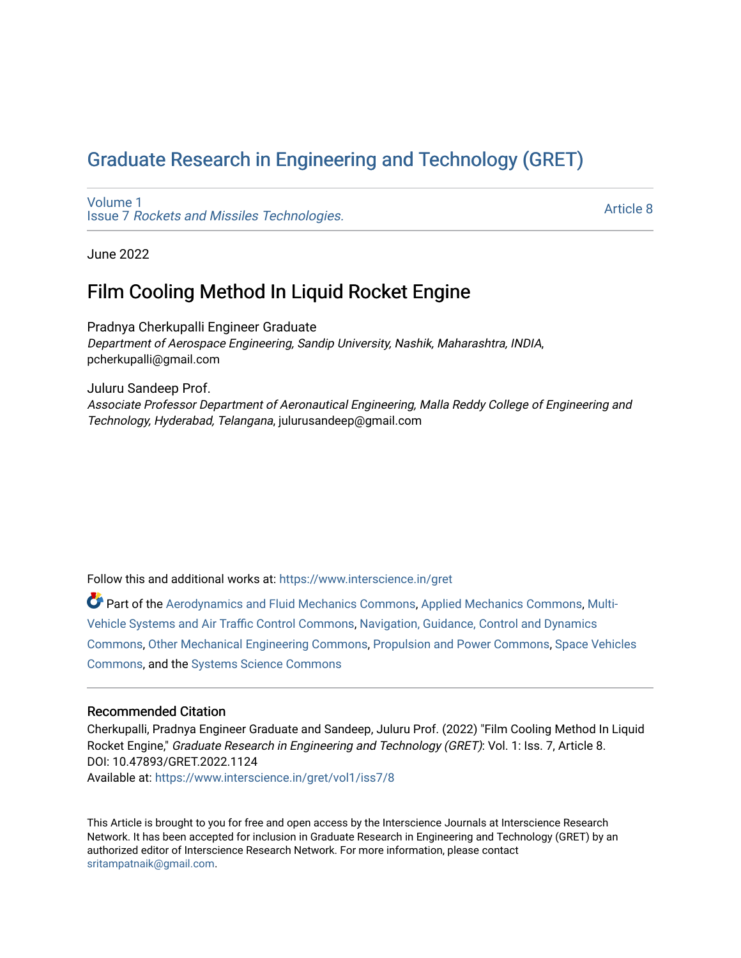# [Graduate Research in Engineering and Technology \(GRET\)](https://www.interscience.in/gret)

[Volume 1](https://www.interscience.in/gret/vol1) Issue 7 [Rockets and Missiles Technologies.](https://www.interscience.in/gret/vol1/iss7)

[Article 8](https://www.interscience.in/gret/vol1/iss7/8) 

June 2022

## Film Cooling Method In Liquid Rocket Engine

Pradnya Cherkupalli Engineer Graduate Department of Aerospace Engineering, Sandip University, Nashik, Maharashtra, INDIA, pcherkupalli@gmail.com

Juluru Sandeep Prof. Associate Professor Department of Aeronautical Engineering, Malla Reddy College of Engineering and Technology, Hyderabad, Telangana, julurusandeep@gmail.com

Follow this and additional works at: [https://www.interscience.in/gret](https://www.interscience.in/gret?utm_source=www.interscience.in%2Fgret%2Fvol1%2Fiss7%2F8&utm_medium=PDF&utm_campaign=PDFCoverPages)

Part of the [Aerodynamics and Fluid Mechanics Commons,](https://network.bepress.com/hgg/discipline/222?utm_source=www.interscience.in%2Fgret%2Fvol1%2Fiss7%2F8&utm_medium=PDF&utm_campaign=PDFCoverPages) [Applied Mechanics Commons](https://network.bepress.com/hgg/discipline/295?utm_source=www.interscience.in%2Fgret%2Fvol1%2Fiss7%2F8&utm_medium=PDF&utm_campaign=PDFCoverPages), [Multi-](https://network.bepress.com/hgg/discipline/227?utm_source=www.interscience.in%2Fgret%2Fvol1%2Fiss7%2F8&utm_medium=PDF&utm_campaign=PDFCoverPages)[Vehicle Systems and Air Traffic Control Commons,](https://network.bepress.com/hgg/discipline/227?utm_source=www.interscience.in%2Fgret%2Fvol1%2Fiss7%2F8&utm_medium=PDF&utm_campaign=PDFCoverPages) [Navigation, Guidance, Control and Dynamics](https://network.bepress.com/hgg/discipline/226?utm_source=www.interscience.in%2Fgret%2Fvol1%2Fiss7%2F8&utm_medium=PDF&utm_campaign=PDFCoverPages)  [Commons](https://network.bepress.com/hgg/discipline/226?utm_source=www.interscience.in%2Fgret%2Fvol1%2Fiss7%2F8&utm_medium=PDF&utm_campaign=PDFCoverPages), [Other Mechanical Engineering Commons,](https://network.bepress.com/hgg/discipline/304?utm_source=www.interscience.in%2Fgret%2Fvol1%2Fiss7%2F8&utm_medium=PDF&utm_campaign=PDFCoverPages) [Propulsion and Power Commons](https://network.bepress.com/hgg/discipline/225?utm_source=www.interscience.in%2Fgret%2Fvol1%2Fiss7%2F8&utm_medium=PDF&utm_campaign=PDFCoverPages), [Space Vehicles](https://network.bepress.com/hgg/discipline/220?utm_source=www.interscience.in%2Fgret%2Fvol1%2Fiss7%2F8&utm_medium=PDF&utm_campaign=PDFCoverPages) [Commons](https://network.bepress.com/hgg/discipline/220?utm_source=www.interscience.in%2Fgret%2Fvol1%2Fiss7%2F8&utm_medium=PDF&utm_campaign=PDFCoverPages), and the [Systems Science Commons](https://network.bepress.com/hgg/discipline/1435?utm_source=www.interscience.in%2Fgret%2Fvol1%2Fiss7%2F8&utm_medium=PDF&utm_campaign=PDFCoverPages)

### Recommended Citation

Cherkupalli, Pradnya Engineer Graduate and Sandeep, Juluru Prof. (2022) "Film Cooling Method In Liquid Rocket Engine," Graduate Research in Engineering and Technology (GRET): Vol. 1: Iss. 7, Article 8. DOI: 10.47893/GRET.2022.1124 Available at: [https://www.interscience.in/gret/vol1/iss7/8](https://www.interscience.in/gret/vol1/iss7/8?utm_source=www.interscience.in%2Fgret%2Fvol1%2Fiss7%2F8&utm_medium=PDF&utm_campaign=PDFCoverPages)

This Article is brought to you for free and open access by the Interscience Journals at Interscience Research Network. It has been accepted for inclusion in Graduate Research in Engineering and Technology (GRET) by an authorized editor of Interscience Research Network. For more information, please contact [sritampatnaik@gmail.com](mailto:sritampatnaik@gmail.com).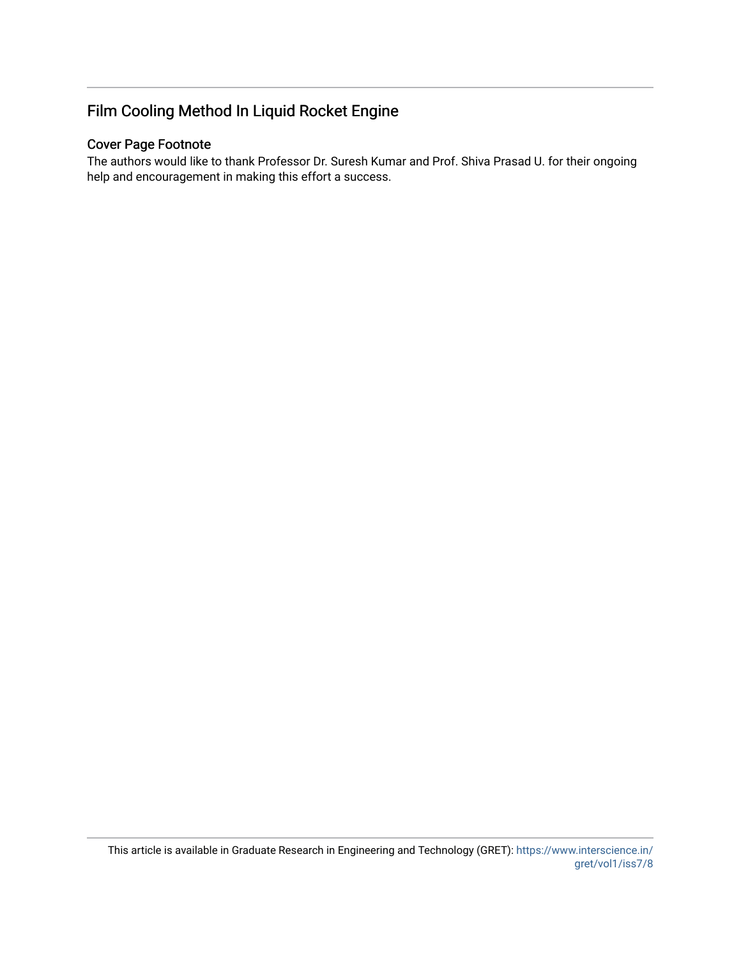## Film Cooling Method In Liquid Rocket Engine

## Cover Page Footnote

The authors would like to thank Professor Dr. Suresh Kumar and Prof. Shiva Prasad U. for their ongoing help and encouragement in making this effort a success.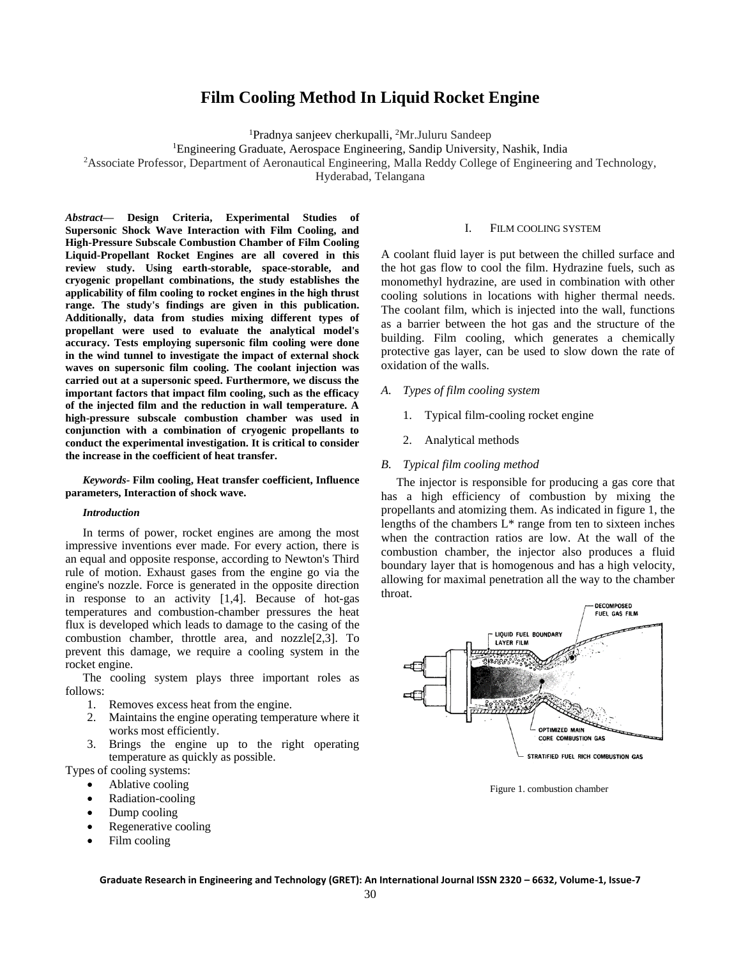### **Film Cooling Method In Liquid Rocket Engine**

<sup>1</sup>Pradnya sanjeev cherkupalli, <sup>2</sup>Mr.Juluru Sandeep

<sup>1</sup>Engineering Graduate, Aerospace Engineering, Sandip University, Nashik, India

<sup>2</sup>Associate Professor, Department of Aeronautical Engineering, Malla Reddy College of Engineering and Technology,

Hyderabad, Telangana

*Abstract***— Design Criteria, Experimental Studies of Supersonic Shock Wave Interaction with Film Cooling, and High-Pressure Subscale Combustion Chamber of Film Cooling Liquid-Propellant Rocket Engines are all covered in this review study. Using earth-storable, space-storable, and cryogenic propellant combinations, the study establishes the applicability of film cooling to rocket engines in the high thrust range. The study's findings are given in this publication. Additionally, data from studies mixing different types of propellant were used to evaluate the analytical model's accuracy. Tests employing supersonic film cooling were done in the wind tunnel to investigate the impact of external shock waves on supersonic film cooling. The coolant injection was carried out at a supersonic speed. Furthermore, we discuss the important factors that impact film cooling, such as the efficacy of the injected film and the reduction in wall temperature. A high-pressure subscale combustion chamber was used in conjunction with a combination of cryogenic propellants to conduct the experimental investigation. It is critical to consider the increase in the coefficient of heat transfer.**

*Keywords-* **Film cooling, Heat transfer coefficient, Influence parameters, Interaction of shock wave.**

#### *Introduction*

In terms of power, rocket engines are among the most impressive inventions ever made. For every action, there is an equal and opposite response, according to Newton's Third rule of motion. Exhaust gases from the engine go via the engine's nozzle. Force is generated in the opposite direction in response to an activity [1,4]. Because of hot-gas temperatures and combustion-chamber pressures the heat flux is developed which leads to damage to the casing of the combustion chamber, throttle area, and nozzle[2,3]. To prevent this damage, we require a cooling system in the rocket engine.

The cooling system plays three important roles as follows:

- 1. Removes excess heat from the engine.
- 2. Maintains the engine operating temperature where it works most efficiently.
- 3. Brings the engine up to the right operating temperature as quickly as possible.
- Types of cooling systems:
	- Ablative cooling
	- Radiation-cooling
	- Dump cooling
	- Regenerative cooling
	- Film cooling

#### I. FILM COOLING SYSTEM

A coolant fluid layer is put between the chilled surface and the hot gas flow to cool the film. Hydrazine fuels, such as monomethyl hydrazine, are used in combination with other cooling solutions in locations with higher thermal needs. The coolant film, which is injected into the wall, functions as a barrier between the hot gas and the structure of the building. Film cooling, which generates a chemically protective gas layer, can be used to slow down the rate of oxidation of the walls.

- *A. Types of film cooling system*
	- 1. Typical film-cooling rocket engine
	- 2. Analytical methods

#### *B. Typical film cooling method*

 The injector is responsible for producing a gas core that has a high efficiency of combustion by mixing the propellants and atomizing them. As indicated in figure 1, the lengths of the chambers  $L^*$  range from ten to sixteen inches when the contraction ratios are low. At the wall of the combustion chamber, the injector also produces a fluid boundary layer that is homogenous and has a high velocity, allowing for maximal penetration all the way to the chamber throat.



Figure 1. combustion chamber

**Graduate Research in Engineering and Technology (GRET): An International Journal ISSN 2320 – 6632, Volume-1, Issue-7**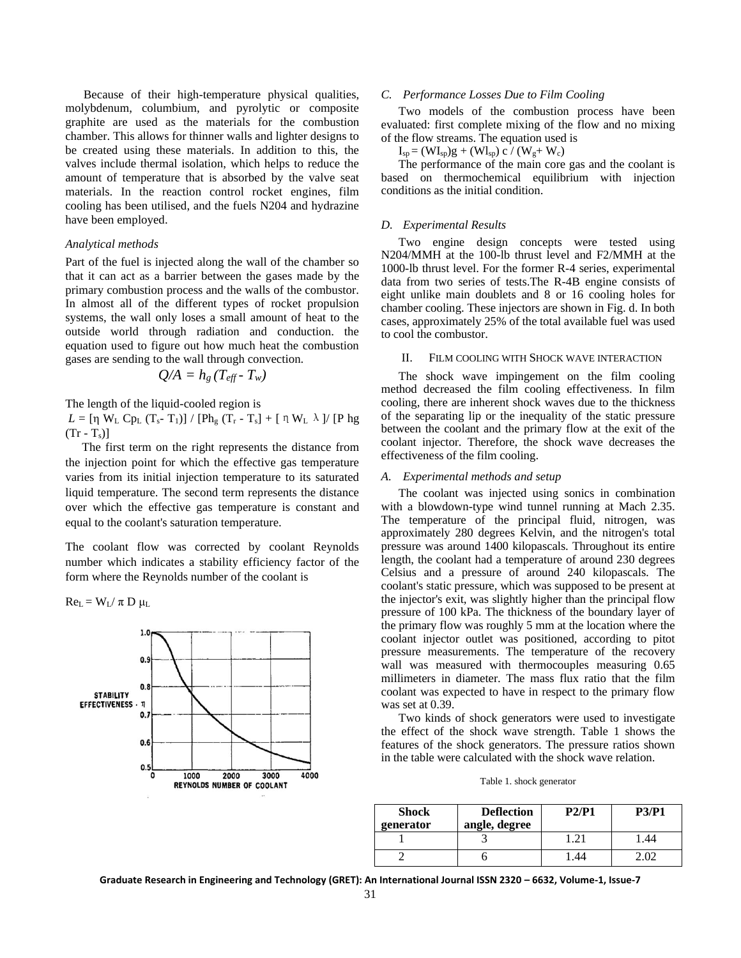Because of their high-temperature physical qualities, molybdenum, columbium, and pyrolytic or composite graphite are used as the materials for the combustion chamber. This allows for thinner walls and lighter designs to be created using these materials. In addition to this, the valves include thermal isolation, which helps to reduce the amount of temperature that is absorbed by the valve seat materials. In the reaction control rocket engines, film cooling has been utilised, and the fuels N204 and hydrazine have been employed.

#### *Analytical methods*

Part of the fuel is injected along the wall of the chamber so that it can act as a barrier between the gases made by the primary combustion process and the walls of the combustor. In almost all of the different types of rocket propulsion systems, the wall only loses a small amount of heat to the outside world through radiation and conduction. the equation used to figure out how much heat the combustion gases are sending to the wall through convection.

$$
Q/A = h_g (T_{\text{eff}} - T_w)
$$

The length of the liquid-cooled region is

*L* = [η W<sub>L</sub> Cp<sub>L</sub> (T<sub>s</sub>- T<sub>1</sub>)] / [Ph<sub>g</sub> (T<sub>r</sub> - T<sub>s</sub>] + [ η W<sub>L</sub> λ ]/ [P hg  $(Tr - T_s)$ 

 The first term on the right represents the distance from the injection point for which the effective gas temperature varies from its initial injection temperature to its saturated liquid temperature. The second term represents the distance over which the effective gas temperature is constant and equal to the coolant's saturation temperature.

The coolant flow was corrected by coolant Reynolds number which indicates a stability efficiency factor of the form where the Reynolds number of the coolant is

 $Re_L = W_L / \pi D \mu_L$ 



#### *C. Performance Losses Due to Film Cooling*

Two models of the combustion process have been evaluated: first complete mixing of the flow and no mixing of the flow streams. The equation used is

 $I_{sp} = (W I_{sp})g + (W I_{sp}) c / (W_g + W_c)$ 

The performance of the main core gas and the coolant is based on thermochemical equilibrium with injection conditions as the initial condition.

#### *D. Experimental Results*

Two engine design concepts were tested using N204/MMH at the 100-lb thrust level and F2/MMH at the 1000-lb thrust level. For the former R-4 series, experimental data from two series of tests.The R-4B engine consists of eight unlike main doublets and 8 or 16 cooling holes for chamber cooling. These injectors are shown in Fig. d. In both cases, approximately 25% of the total available fuel was used to cool the combustor.

#### II. FILM COOLING WITH SHOCK WAVE INTERACTION

The shock wave impingement on the film cooling method decreased the film cooling effectiveness. In film cooling, there are inherent shock waves due to the thickness of the separating lip or the inequality of the static pressure between the coolant and the primary flow at the exit of the coolant injector. Therefore, the shock wave decreases the effectiveness of the film cooling.

#### *A. Experimental methods and setup*

The coolant was injected using sonics in combination with a blowdown-type wind tunnel running at Mach 2.35. The temperature of the principal fluid, nitrogen, was approximately 280 degrees Kelvin, and the nitrogen's total pressure was around 1400 kilopascals. Throughout its entire length, the coolant had a temperature of around 230 degrees Celsius and a pressure of around 240 kilopascals. The coolant's static pressure, which was supposed to be present at the injector's exit, was slightly higher than the principal flow pressure of 100 kPa. The thickness of the boundary layer of the primary flow was roughly 5 mm at the location where the coolant injector outlet was positioned, according to pitot pressure measurements. The temperature of the recovery wall was measured with thermocouples measuring 0.65 millimeters in diameter. The mass flux ratio that the film coolant was expected to have in respect to the primary flow was set at 0.39.

Two kinds of shock generators were used to investigate the effect of the shock wave strength. Table 1 shows the features of the shock generators. The pressure ratios shown in the table were calculated with the shock wave relation.

Table 1. shock generator

| <b>Shock</b><br>generator | <b>Deflection</b><br>angle, degree | P2/P1 | <b>P3/P1</b> |
|---------------------------|------------------------------------|-------|--------------|
|                           |                                    |       | .44          |
|                           |                                    | .44   |              |

**Graduate Research in Engineering and Technology (GRET): An International Journal ISSN 2320 – 6632, Volume-1, Issue-7**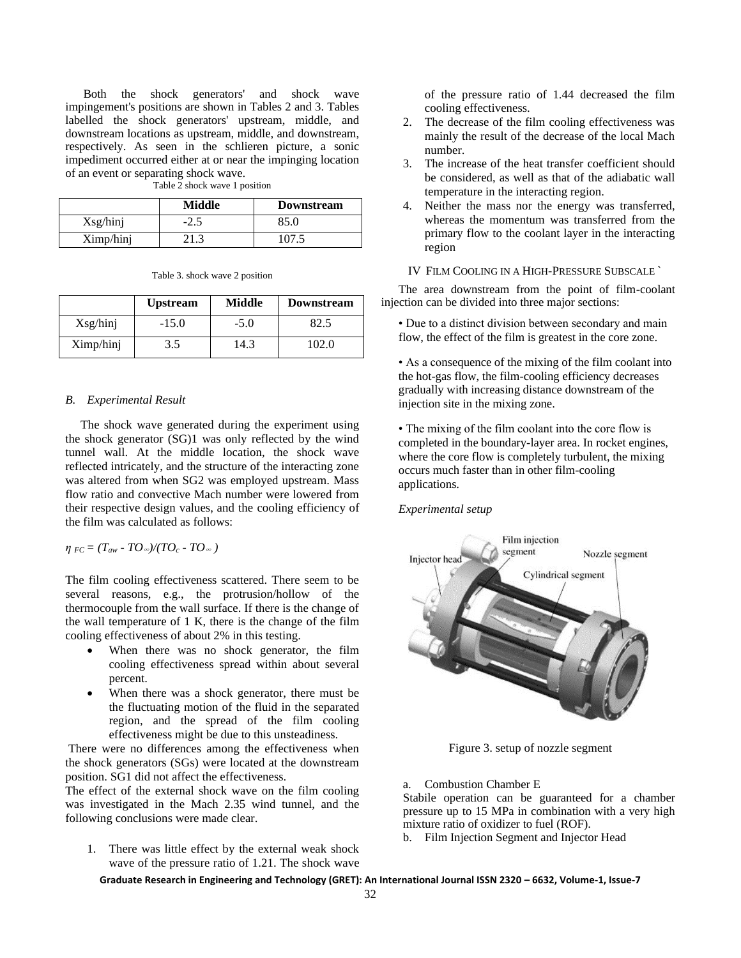Both the shock generators' and shock wave impingement's positions are shown in Tables 2 and 3. Tables labelled the shock generators' upstream, middle, and downstream locations as upstream, middle, and downstream, respectively. As seen in the schlieren picture, a sonic impediment occurred either at or near the impinging location of an event or separating shock wave.

|           | <b>Middle</b> | <b>Downstream</b> |
|-----------|---------------|-------------------|
| Xsg/hinj  | $-2.5$        | 85.0              |
| Ximp/hinj |               | `07               |

Table 2 shock wave 1 position

Table 3. shock wave 2 position

|           | <b>Upstream</b> | <b>Middle</b> | Downstream |
|-----------|-----------------|---------------|------------|
| Xsg/hinj  | $-15.0$         | $-5.0$        | 82.5       |
| Ximp/hinj | 3.5             | 14.3          | 102.0      |

#### *B. Experimental Result*

 The shock wave generated during the experiment using the shock generator (SG)1 was only reflected by the wind tunnel wall. At the middle location, the shock wave reflected intricately, and the structure of the interacting zone was altered from when SG2 was employed upstream. Mass flow ratio and convective Mach number were lowered from their respective design values, and the cooling efficiency of the film was calculated as follows:

 $\eta_{FC} = (T_{aw} - TQ_{\infty})/(TQ_c - TQ_{\infty})$ 

The film cooling effectiveness scattered. There seem to be several reasons, e.g., the protrusion/hollow of the thermocouple from the wall surface. If there is the change of the wall temperature of 1 K, there is the change of the film cooling effectiveness of about 2% in this testing.

- When there was no shock generator, the film cooling effectiveness spread within about several percent.
- When there was a shock generator, there must be the fluctuating motion of the fluid in the separated region, and the spread of the film cooling effectiveness might be due to this unsteadiness.

There were no differences among the effectiveness when the shock generators (SGs) were located at the downstream position. SG1 did not affect the effectiveness.

The effect of the external shock wave on the film cooling was investigated in the Mach 2.35 wind tunnel, and the following conclusions were made clear.

1. There was little effect by the external weak shock wave of the pressure ratio of 1.21. The shock wave of the pressure ratio of 1.44 decreased the film cooling effectiveness.

- 2. The decrease of the film cooling effectiveness was mainly the result of the decrease of the local Mach number.
- 3. The increase of the heat transfer coefficient should be considered, as well as that of the adiabatic wall temperature in the interacting region.
- 4. Neither the mass nor the energy was transferred, whereas the momentum was transferred from the primary flow to the coolant layer in the interacting region

#### IV FILM COOLING IN A HIGH-PRESSURE SUBSCALE `

The area downstream from the point of film-coolant injection can be divided into three major sections:

• Due to a distinct division between secondary and main flow, the effect of the film is greatest in the core zone.

• As a consequence of the mixing of the film coolant into the hot-gas flow, the film-cooling efficiency decreases gradually with increasing distance downstream of the injection site in the mixing zone.

• The mixing of the film coolant into the core flow is completed in the boundary-layer area. In rocket engines, where the core flow is completely turbulent, the mixing occurs much faster than in other film-cooling applications.

#### *Experimental setup*



Figure 3. setup of nozzle segment

a. Combustion Chamber E

Stabile operation can be guaranteed for a chamber pressure up to 15 MPa in combination with a very high mixture ratio of oxidizer to fuel (ROF).

b. Film Injection Segment and Injector Head

**Graduate Research in Engineering and Technology (GRET): An International Journal ISSN 2320 – 6632, Volume-1, Issue-7**